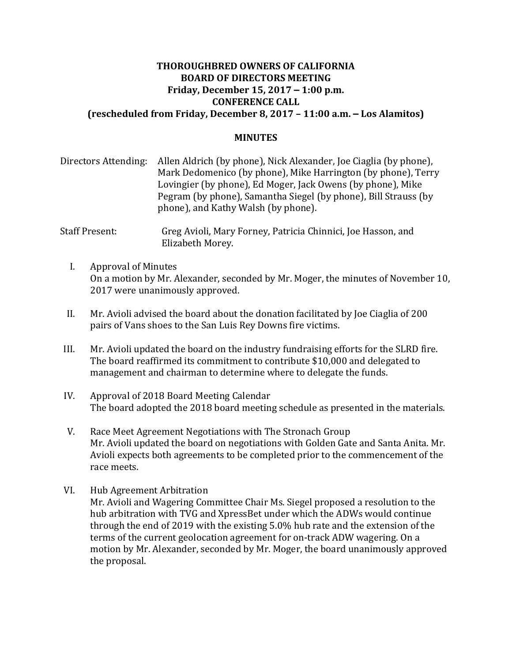## **THOROUGHBRED OWNERS OF CALIFORNIA BOARD OF DIRECTORS MEETING Friday, December 15, 2017 – 1:00 p.m. CONFERENCE CALL (rescheduled from Friday, December 8, 2017 – 11:00 a.m. – Los Alamitos)**

#### **MINUTES**

| Directors Attending: | Allen Aldrich (by phone), Nick Alexander, Joe Ciaglia (by phone), |
|----------------------|-------------------------------------------------------------------|
|                      | Mark Dedomenico (by phone), Mike Harrington (by phone), Terry     |
|                      | Lovingier (by phone), Ed Moger, Jack Owens (by phone), Mike       |
|                      | Pegram (by phone), Samantha Siegel (by phone), Bill Strauss (by   |
|                      | phone), and Kathy Walsh (by phone).                               |

Staff Present: Greg Avioli, Mary Forney, Patricia Chinnici, Joe Hasson, and Elizabeth Morey.

- I. Approval of Minutes On a motion by Mr. Alexander, seconded by Mr. Moger, the minutes of November 10, 2017 were unanimously approved.
- II. Mr. Avioli advised the board about the donation facilitated by Joe Ciaglia of 200 pairs of Vans shoes to the San Luis Rey Downs fire victims.
- III. Mr. Avioli updated the board on the industry fundraising efforts for the SLRD fire. The board reaffirmed its commitment to contribute \$10,000 and delegated to management and chairman to determine where to delegate the funds.
- IV. Approval of 2018 Board Meeting Calendar The board adopted the 2018 board meeting schedule as presented in the materials.
- V. Race Meet Agreement Negotiations with The Stronach Group Mr. Avioli updated the board on negotiations with Golden Gate and Santa Anita. Mr. Avioli expects both agreements to be completed prior to the commencement of the race meets.
- VI. Hub Agreement Arbitration Mr. Avioli and Wagering Committee Chair Ms. Siegel proposed a resolution to the hub arbitration with TVG and XpressBet under which the ADWs would continue through the end of 2019 with the existing 5.0% hub rate and the extension of the terms of the current geolocation agreement for on-track ADW wagering. On a motion by Mr. Alexander, seconded by Mr. Moger, the board unanimously approved the proposal.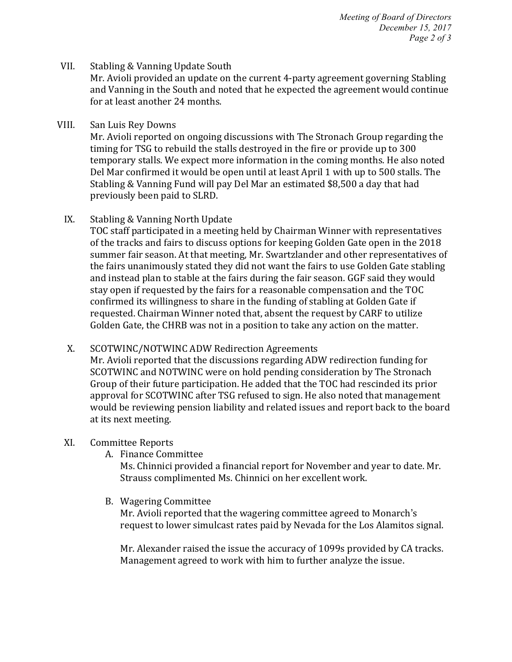#### VII. Stabling & Vanning Update South

Mr. Avioli provided an update on the current 4-party agreement governing Stabling and Vanning in the South and noted that he expected the agreement would continue for at least another 24 months.

#### VIII. San Luis Rev Downs

Mr. Avioli reported on ongoing discussions with The Stronach Group regarding the timing for TSG to rebuild the stalls destroyed in the fire or provide up to 300 temporary stalls. We expect more information in the coming months. He also noted Del Mar confirmed it would be open until at least April 1 with up to 500 stalls. The Stabling & Vanning Fund will pay Del Mar an estimated \$8,500 a day that had previously been paid to SLRD.

## IX. Stabling & Vanning North Update

TOC staff participated in a meeting held by Chairman Winner with representatives of the tracks and fairs to discuss options for keeping Golden Gate open in the 2018 summer fair season. At that meeting, Mr. Swartzlander and other representatives of the fairs unanimously stated they did not want the fairs to use Golden Gate stabling and instead plan to stable at the fairs during the fair season. GGF said they would stay open if requested by the fairs for a reasonable compensation and the TOC confirmed its willingness to share in the funding of stabling at Golden Gate if requested. Chairman Winner noted that, absent the request by CARF to utilize Golden Gate, the CHRB was not in a position to take any action on the matter.

## X. SCOTWINC/NOTWINC ADW Redirection Agreements

Mr. Avioli reported that the discussions regarding ADW redirection funding for SCOTWINC and NOTWINC were on hold pending consideration by The Stronach Group of their future participation. He added that the TOC had rescinded its prior approval for SCOTWINC after TSG refused to sign. He also noted that management would be reviewing pension liability and related issues and report back to the board at its next meeting.

## XI. Committee Reports

A. Finance Committee

Ms. Chinnici provided a financial report for November and year to date. Mr. Strauss complimented Ms. Chinnici on her excellent work.

B. Wagering Committee

Mr. Avioli reported that the wagering committee agreed to Monarch's request to lower simulcast rates paid by Nevada for the Los Alamitos signal.

Mr. Alexander raised the issue the accuracy of 1099s provided by CA tracks. Management agreed to work with him to further analyze the issue.